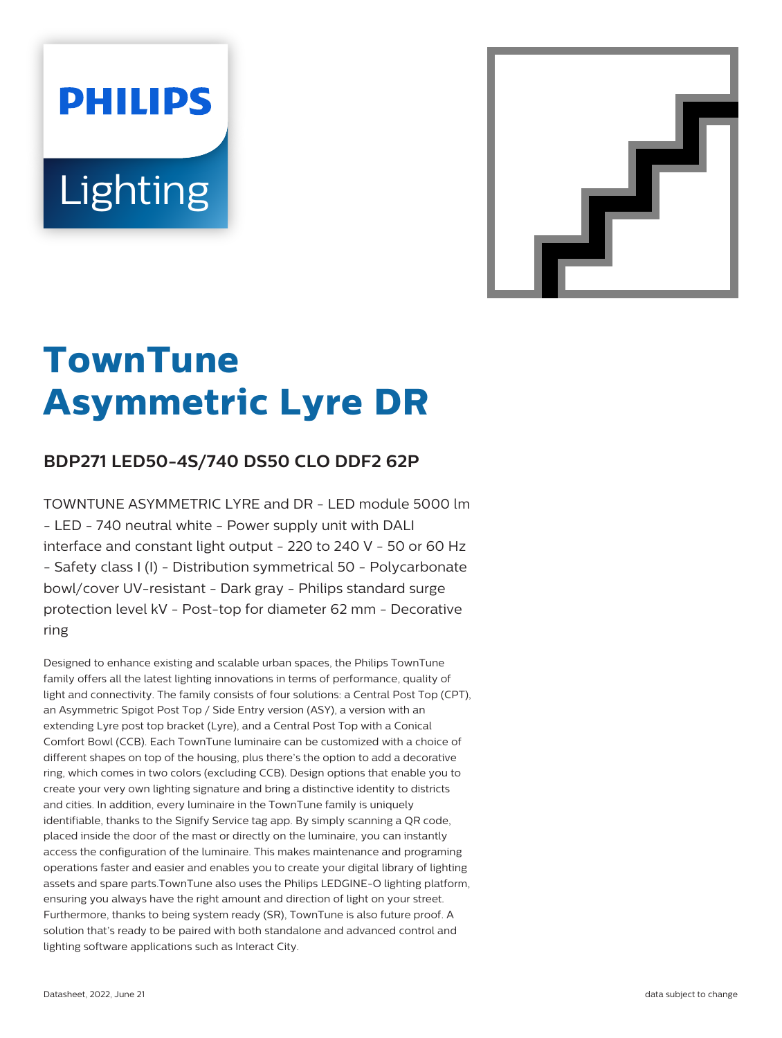# **PHILIPS Lighting**



# **TownTune Asymmetric Lyre DR**

## **BDP271 LED50-4S/740 DS50 CLO DDF2 62P**

TOWNTUNE ASYMMETRIC LYRE and DR - LED module 5000 lm - LED - 740 neutral white - Power supply unit with DALI interface and constant light output - 220 to 240 V - 50 or 60 Hz - Safety class I (I) - Distribution symmetrical 50 - Polycarbonate bowl/cover UV-resistant - Dark gray - Philips standard surge protection level kV - Post-top for diameter 62 mm - Decorative ring

Designed to enhance existing and scalable urban spaces, the Philips TownTune family offers all the latest lighting innovations in terms of performance, quality of light and connectivity. The family consists of four solutions: a Central Post Top (CPT), an Asymmetric Spigot Post Top / Side Entry version (ASY), a version with an extending Lyre post top bracket (Lyre), and a Central Post Top with a Conical Comfort Bowl (CCB). Each TownTune luminaire can be customized with a choice of different shapes on top of the housing, plus there's the option to add a decorative ring, which comes in two colors (excluding CCB). Design options that enable you to create your very own lighting signature and bring a distinctive identity to districts and cities. In addition, every luminaire in the TownTune family is uniquely identifiable, thanks to the Signify Service tag app. By simply scanning a QR code, placed inside the door of the mast or directly on the luminaire, you can instantly access the configuration of the luminaire. This makes maintenance and programing operations faster and easier and enables you to create your digital library of lighting assets and spare parts.TownTune also uses the Philips LEDGINE-O lighting platform, ensuring you always have the right amount and direction of light on your street. Furthermore, thanks to being system ready (SR), TownTune is also future proof. A solution that's ready to be paired with both standalone and advanced control and lighting software applications such as Interact City.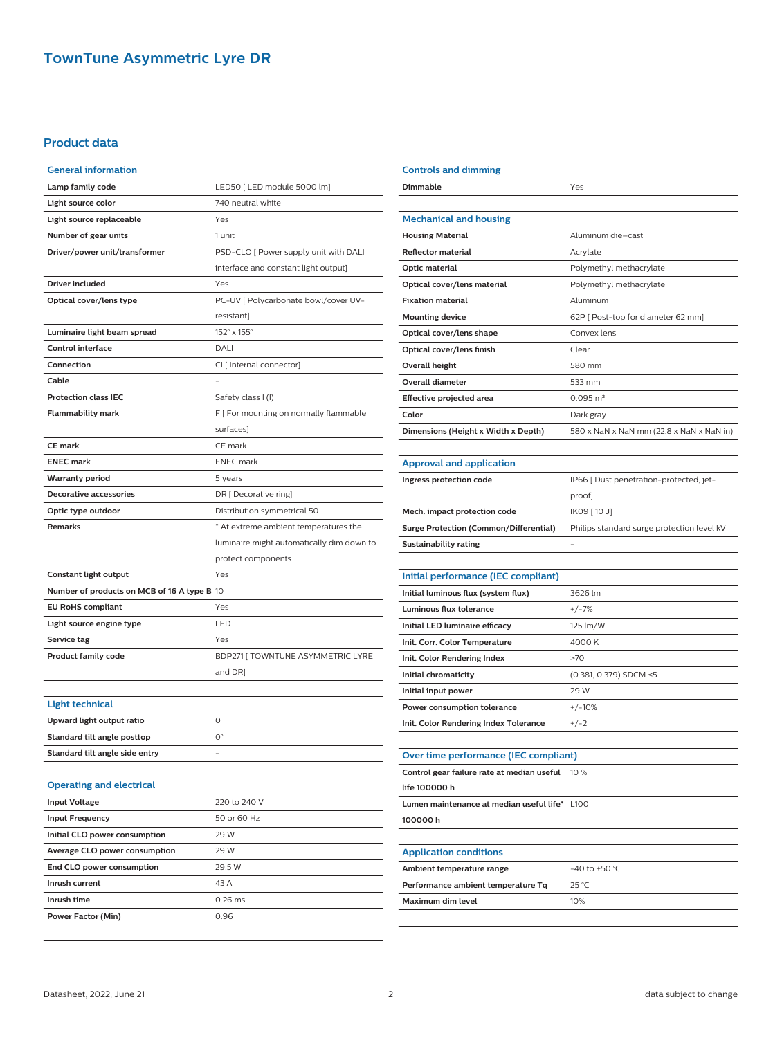### **TownTune Asymmetric Lyre DR**

#### **Product data**

| <b>General information</b>                  |                                           |
|---------------------------------------------|-------------------------------------------|
| Lamp family code                            | LED50 [ LED module 5000 lm]               |
| Light source color                          | 740 neutral white                         |
| Light source replaceable                    | Yes                                       |
| Number of gear units                        | 1 unit                                    |
| Driver/power unit/transformer               | PSD-CLO [ Power supply unit with DALI     |
|                                             | interface and constant light output]      |
| Driver included                             | Yes                                       |
| Optical cover/lens type                     | PC-UV   Polycarbonate bowl/cover UV-      |
|                                             | resistant]                                |
| Luminaire light beam spread                 | 152° x 155°                               |
| <b>Control interface</b>                    | DALI                                      |
| Connection                                  | CI [ Internal connector]                  |
| Cable                                       |                                           |
| <b>Protection class IEC</b>                 | Safety class I (I)                        |
| <b>Flammability mark</b>                    | F [ For mounting on normally flammable    |
|                                             | surfaces]                                 |
| <b>CE mark</b>                              | CE mark                                   |
| <b>ENEC mark</b>                            | <b>ENEC</b> mark                          |
| <b>Warranty period</b>                      | 5 years                                   |
| Decorative accessories                      | DR [ Decorative ring]                     |
| Optic type outdoor                          | Distribution symmetrical 50               |
| <b>Remarks</b>                              | * At extreme ambient temperatures the     |
|                                             | luminaire might automatically dim down to |
|                                             | protect components                        |
|                                             |                                           |
| Constant light output                       | Yes                                       |
| Number of products on MCB of 16 A type B 10 |                                           |
| <b>EU RoHS compliant</b>                    | Yes                                       |
| Light source engine type                    | LED                                       |
| Service tag                                 | Yes                                       |
| <b>Product family code</b>                  | BDP271   TOWNTUNE ASYMMETRIC LYRE         |
|                                             | and DR]                                   |
|                                             |                                           |
| <b>Light technical</b>                      |                                           |
| Upward light output ratio                   | 0                                         |
| Standard tilt angle posttop                 | О°                                        |
| Standard tilt angle side entry              |                                           |
|                                             |                                           |
| <b>Operating and electrical</b>             |                                           |
| <b>Input Voltage</b>                        | 220 to 240 V                              |
| <b>Input Frequency</b>                      | 50 or 60 Hz                               |
| Initial CLO power consumption               | 29 W                                      |
| Average CLO power consumption               | 29 W                                      |
| End CLO power consumption                   | 29.5 W                                    |
| Inrush current                              | 43 A                                      |
| Inrush time                                 | 0.26 ms                                   |
| Power Factor (Min)                          | 0.96                                      |

| <b>Controls and dimming</b>                   |                                            |
|-----------------------------------------------|--------------------------------------------|
| Dimmable                                      | Yes                                        |
|                                               |                                            |
| <b>Mechanical and housing</b>                 |                                            |
| <b>Housing Material</b>                       | Aluminum die-cast                          |
| Reflector material                            | Acrylate                                   |
| Optic material                                | Polymethyl methacrylate                    |
| Optical cover/lens material                   | Polymethyl methacrylate                    |
| <b>Fixation material</b>                      | Aluminum                                   |
| <b>Mounting device</b>                        | 62P [ Post-top for diameter 62 mm]         |
| Optical cover/lens shape                      | Convex lens                                |
| Optical cover/lens finish                     | Clear                                      |
| Overall height                                | 580 mm                                     |
| <b>Overall diameter</b>                       | 533 mm                                     |
| Effective projected area                      | $0.095 \, \text{m}^2$                      |
| Color                                         | Dark gray                                  |
| Dimensions (Height x Width x Depth)           | 580 x NaN x NaN mm (22.8 x NaN x NaN in)   |
|                                               |                                            |
| <b>Approval and application</b>               |                                            |
| Ingress protection code                       | IP66 [ Dust penetration-protected, jet-    |
|                                               | proof]                                     |
| Mech. impact protection code                  | IK09 [ 10 J]                               |
| <b>Surge Protection (Common/Differential)</b> | Philips standard surge protection level kV |
| Sustainability rating                         |                                            |
|                                               |                                            |
| Initial performance (IEC compliant)           |                                            |
| Initial luminous flux (system flux)           | 3626 lm                                    |
| Luminous flux tolerance                       | $+/-7%$                                    |
| Initial LED luminaire efficacy                | 125 lm/W                                   |
| Init. Corr. Color Temperature                 | 4000K                                      |
| Init. Color Rendering Index                   | >70                                        |
| Initial chromaticity                          | (0.381, 0.379) SDCM <5                     |
| Initial input power                           | 29 W                                       |
| Power consumption tolerance                   | $+/-10%$                                   |
| Init. Color Rendering Index Tolerance         | $+/-2$                                     |
|                                               |                                            |
| Over time performance (IEC compliant)         |                                            |
| Control gear failure rate at median useful    | 10 %                                       |
| life 100000 h                                 |                                            |
| Lumen maintenance at median useful life* L100 |                                            |
| 100000h                                       |                                            |
| <b>Application conditions</b>                 |                                            |
| Ambient temperature range                     | -40 to +50 $^{\circ}$ C                    |
| Performance ambient temperature Tq            | 25 °C                                      |
|                                               |                                            |
| Maximum dim level                             | 10%                                        |